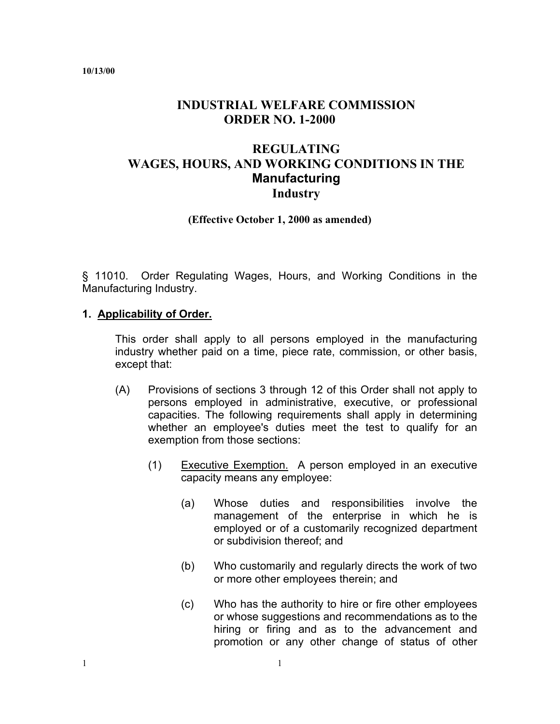#### **10/13/00**

# **INDUSTRIAL WELFARE COMMISSION ORDER NO. 1-2000**

# **REGULATING WAGES, HOURS, AND WORKING CONDITIONS IN THE Manufacturing Industry**

#### **(Effective October 1, 2000 as amended)**

§ 11010. Order Regulating Wages, Hours, and Working Conditions in the Manufacturing Industry.

#### **1. Applicability of Order.**

This order shall apply to all persons employed in the manufacturing industry whether paid on a time, piece rate, commission, or other basis, except that:

- $(A)$ Provisions of sections 3 through 12 of this Order shall not apply to persons employed in administrative, executive, or professional capacities. The following requirements shall apply in determining whether an employee's duties meet the test to qualify for an exemption from those sections:
	- (1) Executive Exemption. A person employed in an executive capacity means any employee:
		- $(a)$ Whose duties and responsibilities involve the management of the enterprise in which he is employed or of a customarily recognized department or subdivision thereof; and
		- (b) Who customarily and regularly directs the work of two or more other employees therein; and
		- (c) Who has the authority to hire or fire other employees or whose suggestions and recommendations as to the hiring or firing and as to the advancement and promotion or any other change of status of other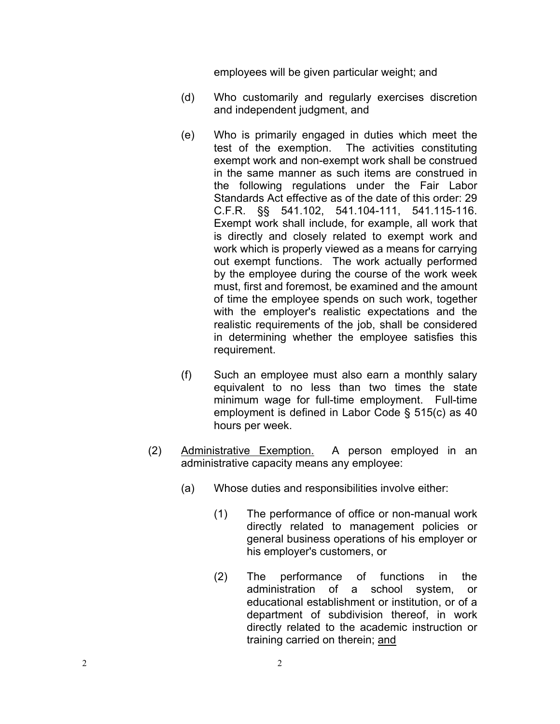employees will be given particular weight; and

- (d) Who customarily and regularly exercises discretion and independent judgment, and
- (e) Who is primarily engaged in duties which meet the test of the exemption. The activities constituting exempt work and non-exempt work shall be construed in the same manner as such items are construed in the following regulations under the Fair Labor Standards Act effective as of the date of this order: 29 C.F.R. §§ 541.102, 541.104-111, 541.115-116. Exempt work shall include, for example, all work that is directly and closely related to exempt work and work which is properly viewed as a means for carrying out exempt functions. The work actually performed by the employee during the course of the work week must, first and foremost, be examined and the amount of time the employee spends on such work, together with the employer's realistic expectations and the realistic requirements of the job, shall be considered in determining whether the employee satisfies this requirement.
- (f) Such an employee must also earn a monthly salary equivalent to no less than two times the state minimum wage for full-time employment. Full-time employment is defined in Labor Code § 515(c) as 40 hours per week.
- (2) Administrative Exemption. A person employed in an administrative capacity means any employee:
	- (a) Whose duties and responsibilities involve either:
		- (1) The performance of office or non-manual work directly related to management policies or general business operations of his employer or his employer's customers, or
		- (2) The performance of functions in the administration of a school system, or educational establishment or institution, or of a department of subdivision thereof, in work directly related to the academic instruction or training carried on therein; and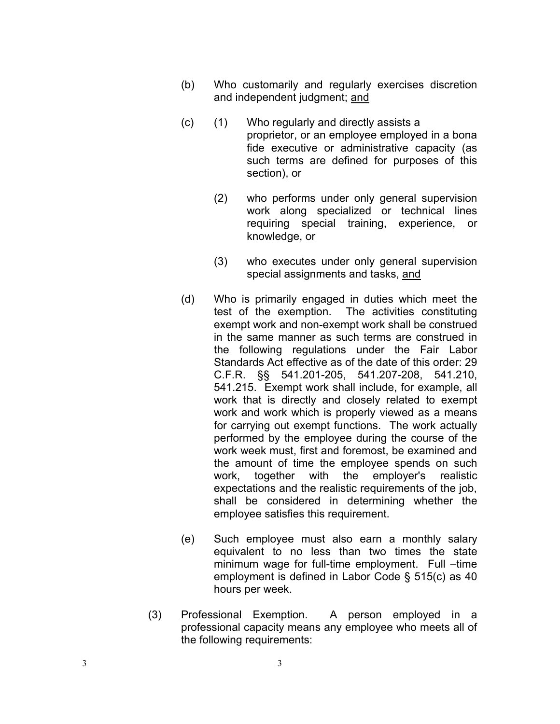- (b) Who customarily and regularly exercises discretion and independent judgment; and
- (c) (1) Who regularly and directly assists a proprietor, or an employee employed in a bona fide executive or administrative capacity (as such terms are defined for purposes of this section), or
	- (2) who performs under only general supervision work along specialized or technical lines requiring special training, experience, or knowledge, or
	- (3) who executes under only general supervision special assignments and tasks, and
- (d) Who is primarily engaged in duties which meet the test of the exemption. The activities constituting exempt work and non-exempt work shall be construed in the same manner as such terms are construed in the following regulations under the Fair Labor Standards Act effective as of the date of this order: 29 C.F.R. §§ 541.201-205, 541.207-208, 541.210, 541.215. Exempt work shall include, for example, all work that is directly and closely related to exempt work and work which is properly viewed as a means for carrying out exempt functions. The work actually performed by the employee during the course of the work week must, first and foremost, be examined and the amount of time the employee spends on such work, together with the employer's realistic expectations and the realistic requirements of the job, shall be considered in determining whether the employee satisfies this requirement.
- (e) Such employee must also earn a monthly salary equivalent to no less than two times the state minimum wage for full-time employment. Full –time employment is defined in Labor Code § 515(c) as 40 hours per week.
- (3) Professional Exemption. A person employed in a professional capacity means any employee who meets all of the following requirements: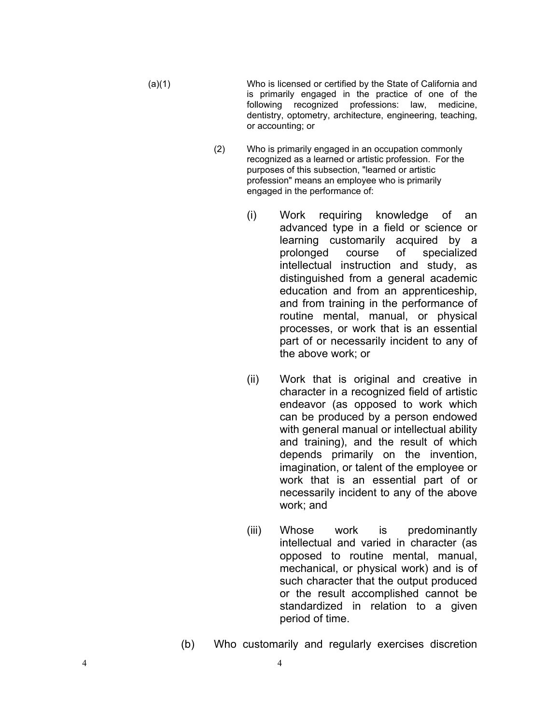- (a)(1) Who is licensed or certified by the State of California and is primarily engaged in the practice of one of the following recognized professions: law, medicine, dentistry, optometry, architecture, engineering, teaching, or accounting; or
	- (2) Who is primarily engaged in an occupation commonly recognized as a learned or artistic profession. For the purposes of this subsection, "learned or artistic profession" means an employee who is primarily engaged in the performance of:
		- (i) Work requiring knowledge of an advanced type in a field or science or learning customarily acquired by a prolonged course of specialized intellectual instruction and study, as distinguished from a general academic education and from an apprenticeship, and from training in the performance of routine mental, manual, or physical processes, or work that is an essential part of or necessarily incident to any of the above work; or
		- (ii) Work that is original and creative in character in a recognized field of artistic endeavor (as opposed to work which can be produced by a person endowed with general manual or intellectual ability and training), and the result of which depends primarily on the invention, imagination, or talent of the employee or work that is an essential part of or necessarily incident to any of the above work; and
		- (iii) Whose work is predominantly intellectual and varied in character (as opposed to routine mental, manual, mechanical, or physical work) and is of such character that the output produced or the result accomplished cannot be standardized in relation to a given period of time.
	- (b) Who customarily and regularly exercises discretion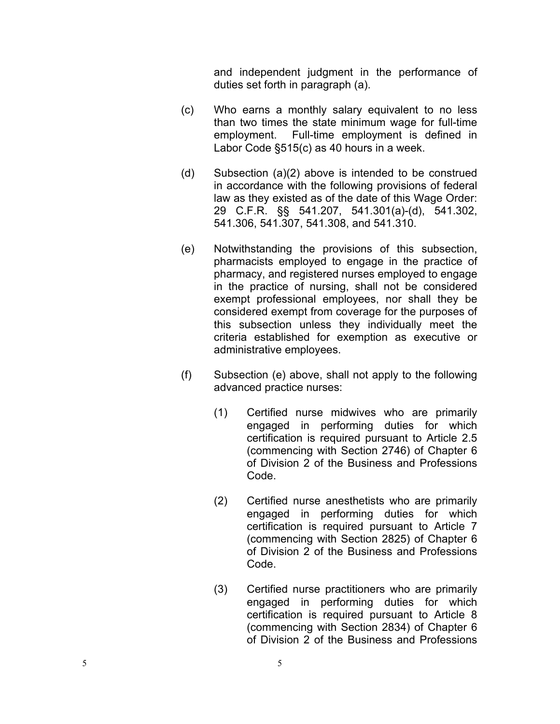and independent judgment in the performance of duties set forth in paragraph (a).

- (c) Who earns a monthly salary equivalent to no less than two times the state minimum wage for full-time employment. Full-time employment is defined in Labor Code §515(c) as 40 hours in a week.
- (d) Subsection (a)(2) above is intended to be construed in accordance with the following provisions of federal law as they existed as of the date of this Wage Order: 29 C.F.R. §§ 541.207, 541.301(a)-(d), 541.302, 541.306, 541.307, 541.308, and 541.310.
- (e) Notwithstanding the provisions of this subsection, pharmacists employed to engage in the practice of pharmacy, and registered nurses employed to engage in the practice of nursing, shall not be considered exempt professional employees, nor shall they be considered exempt from coverage for the purposes of this subsection unless they individually meet the criteria established for exemption as executive or administrative employees.
- (f) Subsection (e) above, shall not apply to the following advanced practice nurses:
	- (1) Certified nurse midwives who are primarily engaged in performing duties for which certification is required pursuant to Article 2.5 (commencing with Section 2746) of Chapter 6 of Division 2 of the Business and Professions Code.
	- (2) Certified nurse anesthetists who are primarily engaged in performing duties for which certification is required pursuant to Article 7 (commencing with Section 2825) of Chapter 6 of Division 2 of the Business and Professions Code.
	- (3) Certified nurse practitioners who are primarily engaged in performing duties for which certification is required pursuant to Article 8 (commencing with Section 2834) of Chapter 6 of Division 2 of the Business and Professions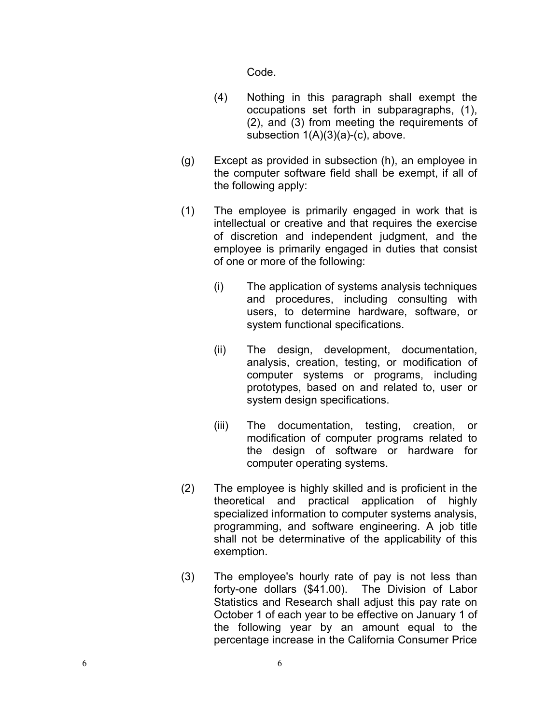Code.

- (4) Nothing in this paragraph shall exempt the occupations set forth in subparagraphs, (1), (2), and (3) from meeting the requirements of subsection 1(A)(3)(a)-(c), above.
- (g) Except as provided in subsection (h), an employee in the computer software field shall be exempt, if all of the following apply:
- (1) The employee is primarily engaged in work that is intellectual or creative and that requires the exercise of discretion and independent judgment, and the employee is primarily engaged in duties that consist of one or more of the following:
	- (i) The application of systems analysis techniques and procedures, including consulting with users, to determine hardware, software, or system functional specifications.
	- (ii) The design, development, documentation, analysis, creation, testing, or modification of computer systems or programs, including prototypes, based on and related to, user or system design specifications.
	- (iii) The documentation, testing, creation, or modification of computer programs related to the design of software or hardware for computer operating systems.
- (2) The employee is highly skilled and is proficient in the theoretical and practical application of highly specialized information to computer systems analysis, programming, and software engineering. A job title shall not be determinative of the applicability of this exemption.
- (3) The employee's hourly rate of pay is not less than forty-one dollars (\$41.00). The Division of Labor Statistics and Research shall adjust this pay rate on October 1 of each year to be effective on January 1 of the following year by an amount equal to the percentage increase in the California Consumer Price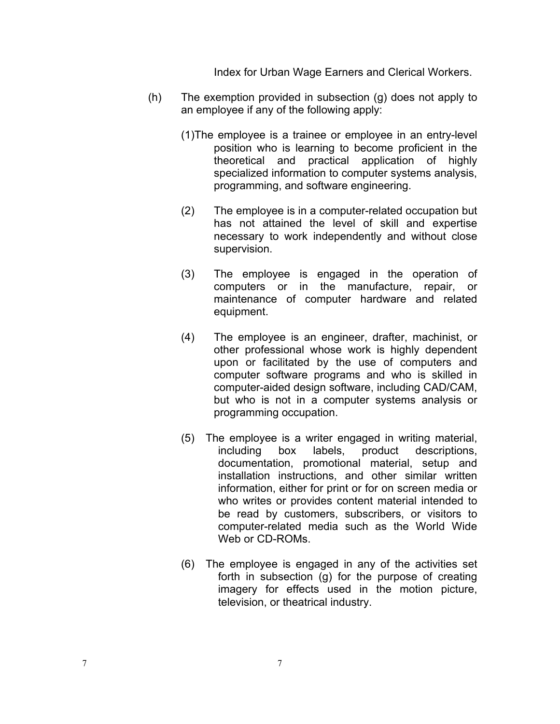Index for Urban Wage Earners and Clerical Workers.

- $(h)$  The exemption provided in subsection  $(g)$  does not apply to an employee if any of the following apply:
	- (1)The employee is a trainee or employee in an entry-level position who is learning to become proficient in the theoretical and practical application of highly specialized information to computer systems analysis, programming, and software engineering.
	- (2) The employee is in a computer-related occupation but has not attained the level of skill and expertise necessary to work independently and without close supervision.
	- (3) The employee is engaged in the operation of computers or in the manufacture, repair, or maintenance of computer hardware and related equipment.
	- (4) The employee is an engineer, drafter, machinist, or other professional whose work is highly dependent upon or facilitated by the use of computers and computer software programs and who is skilled in computer-aided design software, including CAD/CAM, but who is not in a computer systems analysis or programming occupation.
	- (5) The employee is a writer engaged in writing material, including box labels, product descriptions, documentation, promotional material, setup and installation instructions, and other similar written information, either for print or for on screen media or who writes or provides content material intended to be read by customers, subscribers, or visitors to computer-related media such as the World Wide Web or CD-ROMs.
	- (6) The employee is engaged in any of the activities set forth in subsection (g) for the purpose of creating imagery for effects used in the motion picture, television, or theatrical industry.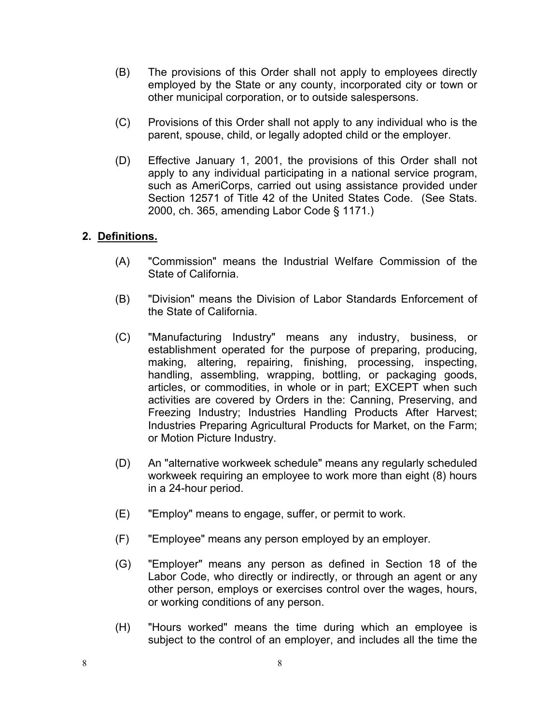- (B) The provisions of this Order shall not apply to employees directly employed by the State or any county, incorporated city or town or other municipal corporation, or to outside salespersons.
- $(C)$ Provisions of this Order shall not apply to any individual who is the parent, spouse, child, or legally adopted child or the employer.
- apply to any individual participating in a national service program, (D) Effective January 1, 2001, the provisions of this Order shall not such as AmeriCorps, carried out using assistance provided under Section 12571 of Title 42 of the United States Code. (See Stats. 2000, ch. 365, amending Labor Code § 1171.)

#### **2. Definitions.**

- $(A)$ "Commission" means the Industrial Welfare Commission of the State of California.
- (B) "Division" means the Division of Labor Standards Enforcement of the State of California.
- $(C)$ "Manufacturing Industry" means any industry, business, or establishment operated for the purpose of preparing, producing, making, altering, repairing, finishing, processing, inspecting, handling, assembling, wrapping, bottling, or packaging goods, articles, or commodities, in whole or in part; EXCEPT when such activities are covered by Orders in the: Canning, Preserving, and Freezing Industry; Industries Handling Products After Harvest; Industries Preparing Agricultural Products for Market, on the Farm; or Motion Picture Industry.
- (D) An "alternative workweek schedule" means any regularly scheduled workweek requiring an employee to work more than eight (8) hours in a 24-hour period.
- $(E)$ "Employ" means to engage, suffer, or permit to work.
- $(F)$ "Employee" means any person employed by an employer.
- $(G)$ "Employer" means any person as defined in Section 18 of the Labor Code, who directly or indirectly, or through an agent or any other person, employs or exercises control over the wages, hours, or working conditions of any person.
- $(H)$ "Hours worked" means the time during which an employee is subject to the control of an employer, and includes all the time the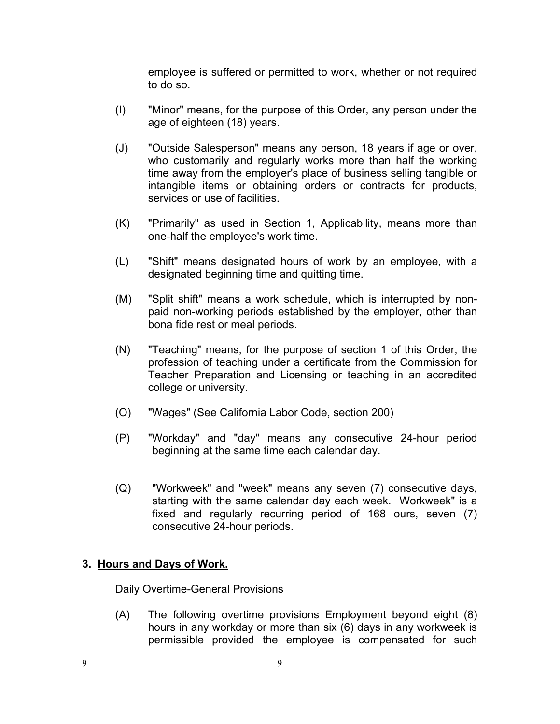employee is suffered or permitted to work, whether or not required to do so.

- (I) "Minor" means, for the purpose of this Order, any person under the age of eighteen (18) years.
- $(J)$ "Outside Salesperson" means any person, 18 years if age or over, who customarily and regularly works more than half the working time away from the employer's place of business selling tangible or intangible items or obtaining orders or contracts for products, services or use of facilities.
- $(K)$ "Primarily" as used in Section 1, Applicability, means more than one-half the employee's work time.
- $(L)$ "Shift" means designated hours of work by an employee, with a designated beginning time and quitting time.
- (M) "Split shift" means a work schedule, which is interrupted by nonpaid non-working periods established by the employer, other than bona fide rest or meal periods.
- $(N)$ "Teaching" means, for the purpose of section 1 of this Order, the profession of teaching under a certificate from the Commission for Teacher Preparation and Licensing or teaching in an accredited college or university.
- $(O)$ "Wages" (See California Labor Code, section 200)
- $(P)$ "Workday" and "day" means any consecutive 24-hour period beginning at the same time each calendar day.
- $(Q)$ "Workweek" and "week" means any seven (7) consecutive days, starting with the same calendar day each week. Workweek" is a fixed and regularly recurring period of 168 ours, seven (7) consecutive 24-hour periods.

#### **3. Hours and Days of Work.**

Daily Overtime-General Provisions

 $(A)$ The following overtime provisions Employment beyond eight (8) hours in any workday or more than six (6) days in any workweek is permissible provided the employee is compensated for such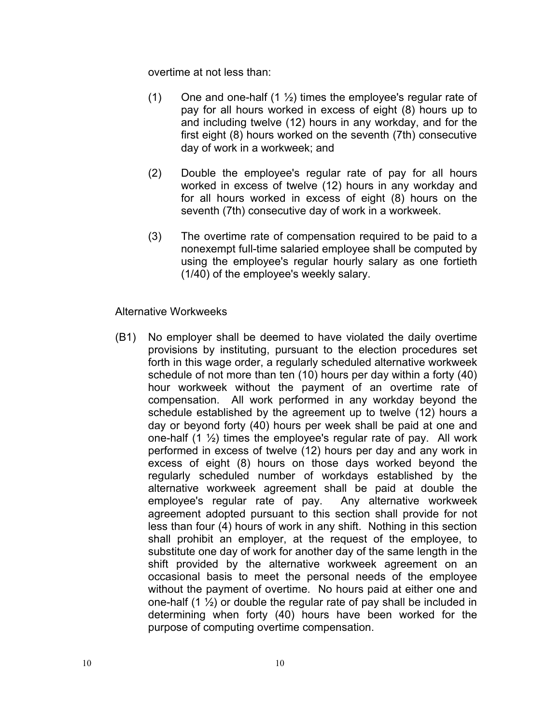overtime at not less than:

- (1) One and one-half (1  $\frac{1}{2}$ ) times the employee's regular rate of pay for all hours worked in excess of eight (8) hours up to and including twelve (12) hours in any workday, and for the first eight (8) hours worked on the seventh (7th) consecutive day of work in a workweek; and
- (2) Double the employee's regular rate of pay for all hours worked in excess of twelve (12) hours in any workday and for all hours worked in excess of eight (8) hours on the seventh (7th) consecutive day of work in a workweek.
- (3) The overtime rate of compensation required to be paid to a nonexempt full-time salaried employee shall be computed by using the employee's regular hourly salary as one fortieth (1/40) of the employee's weekly salary.

#### Alternative Workweeks

(B1) No employer shall be deemed to have violated the daily overtime provisions by instituting, pursuant to the election procedures set forth in this wage order, a regularly scheduled alternative workweek schedule of not more than ten (10) hours per day within a forty (40) hour workweek without the payment of an overtime rate of compensation. All work performed in any workday beyond the schedule established by the agreement up to twelve (12) hours a day or beyond forty (40) hours per week shall be paid at one and one-half  $(1 \frac{1}{2})$  times the employee's regular rate of pay. All work performed in excess of twelve (12) hours per day and any work in excess of eight (8) hours on those days worked beyond the regularly scheduled number of workdays established by the alternative workweek agreement shall be paid at double the employee's regular rate of pay. Any alternative workweek agreement adopted pursuant to this section shall provide for not less than four (4) hours of work in any shift. Nothing in this section shall prohibit an employer, at the request of the employee, to substitute one day of work for another day of the same length in the shift provided by the alternative workweek agreement on an occasional basis to meet the personal needs of the employee without the payment of overtime. No hours paid at either one and one-half  $(1 \frac{1}{2})$  or double the regular rate of pay shall be included in determining when forty (40) hours have been worked for the purpose of computing overtime compensation.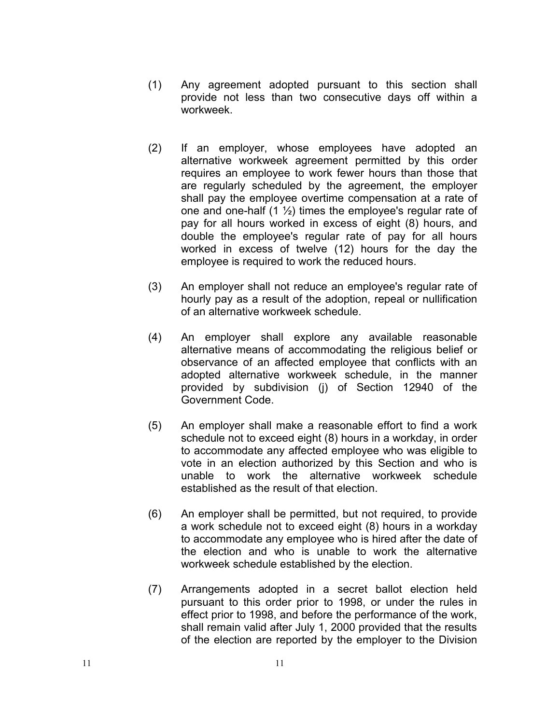- Any agreement adopted pursuant to this section shall provide not less than two consecutive days off within a workweek. (1)
- If an employer, whose employees have adopted an alternative workweek agreement permitted by this order requires an employee to work fewer hours than those that are regularly scheduled by the agreement, the employer shall pay the employee overtime compensation at a rate of one and one-half  $(1 \frac{1}{2})$  times the employee's regular rate of pay for all hours worked in excess of eight (8) hours, and double the employee's regular rate of pay for all hours worked in excess of twelve (12) hours for the day the employee is required to work the reduced hours. (2)
- An employer shall not reduce an employee's regular rate of hourly pay as a result of the adoption, repeal or nullification of an alternative workweek schedule. (3)
- An employer shall explore any available reasonable alternative means of accommodating the religious belief or observance of an affected employee that conflicts with an adopted alternative workweek schedule, in the manner provided by subdivision (j) of Section 12940 of the Government Code. (4)
- An employer shall make a reasonable effort to find a work schedule not to exceed eight (8) hours in a workday, in order to accommodate any affected employee who was eligible to vote in an election authorized by this Section and who is unable to work the alternative workweek schedule established as the result of that election. (5)
- An employer shall be permitted, but not required, to provide a work schedule not to exceed eight (8) hours in a workday to accommodate any employee who is hired after the date of the election and who is unable to work the alternative workweek schedule established by the election. (6)
- Arrangements adopted in a secret ballot election held pursuant to this order prior to 1998, or under the rules in effect prior to 1998, and before the performance of the work, shall remain valid after July 1, 2000 provided that the results of the election are reported by the employer to the Division (7)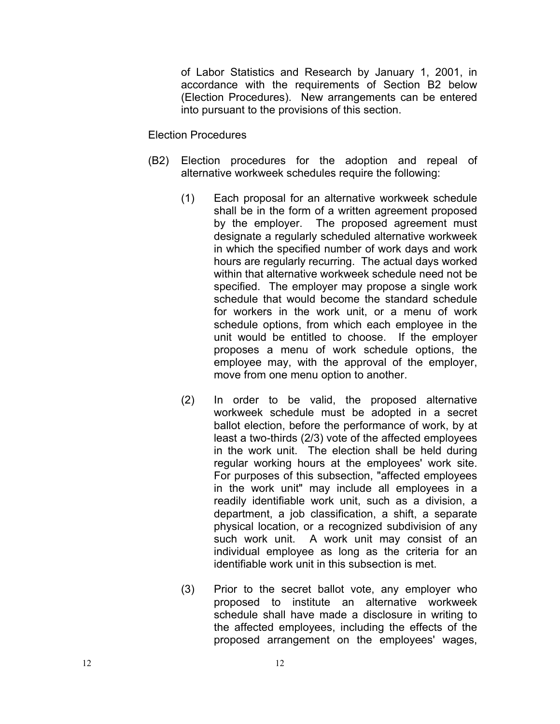of Labor Statistics and Research by January 1, 2001, in accordance with the requirements of Section B2 below (Election Procedures). New arrangements can be entered into pursuant to the provisions of this section.

Election Procedures

- (B2) Election procedures for the adoption and repeal of alternative workweek schedules require the following:
	- (1) Each proposal for an alternative workweek schedule shall be in the form of a written agreement proposed by the employer. The proposed agreement must designate a regularly scheduled alternative workweek in which the specified number of work days and work hours are regularly recurring. The actual days worked within that alternative workweek schedule need not be specified. The employer may propose a single work schedule that would become the standard schedule for workers in the work unit, or a menu of work schedule options, from which each employee in the unit would be entitled to choose. If the employer proposes a menu of work schedule options, the employee may, with the approval of the employer, move from one menu option to another.
	- regular working hours at the employees' work site. (2) In order to be valid, the proposed alternative workweek schedule must be adopted in a secret ballot election, before the performance of work, by at least a two-thirds (2/3) vote of the affected employees in the work unit. The election shall be held during For purposes of this subsection, "affected employees in the work unit" may include all employees in a readily identifiable work unit, such as a division, a department, a job classification, a shift, a separate physical location, or a recognized subdivision of any such work unit. A work unit may consist of an individual employee as long as the criteria for an identifiable work unit in this subsection is met.
	- (3) Prior to the secret ballot vote, any employer who proposed to institute an alternative workweek schedule shall have made a disclosure in writing to the affected employees, including the effects of the proposed arrangement on the employees' wages,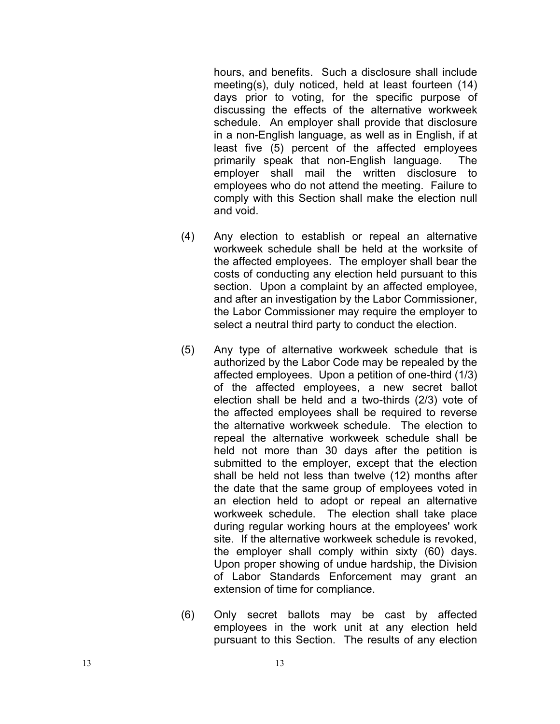hours, and benefits. Such a disclosure shall include meeting(s), duly noticed, held at least fourteen (14) days prior to voting, for the specific purpose of discussing the effects of the alternative workweek schedule. An employer shall provide that disclosure in a non -English language, as well as in English, if at least five (5) percent of the affected employees primarily speak that non -English language. The employer shall mail the written disclosure to employees who do not attend the meeting. Failure to comply with this Section shall make the election null and void.

- (4) Any election to establish or repeal an alternative workweek schedule shall be held at the worksite of the affected employees. The employer shall bear the costs of conducting any election held pursuant to this section. Upon a complaint by an affected employee, and after an investigation by the Labor Commissioner, the Labor Commissioner may require the employer to select a neutral third party to conduct the election.
- the employer shall comply within sixty (60) days. (5) Any type of alternative workweek schedule that is authorized by the Labor Code may be repealed by the affected employees. Upon a petition of one -third (1/3) of the affected employees, a new secret ballot election shall be held and a two -thirds (2/3) vote of the affected employees shall be required to reverse the alternative workweek schedule. The election to repeal the alternative workweek schedule shall be held not more than 30 days after the petition is submitted to the employer, except that the election shall be held not less than twelve (12) months after the date that the same group of employees voted in an election held to adopt or repeal an alternative workweek schedule. The election shall take place during regular working hours at the employees' work site. If the alternative workweek schedule is revoked, Upon proper showing of undue hardship, the Division of Labor Standards Enforcement may grant an extension of time for compliance.
- (6) Only secret ballots may be cast by affected employees in the work unit at any election held pursuant to this Section. The results of any election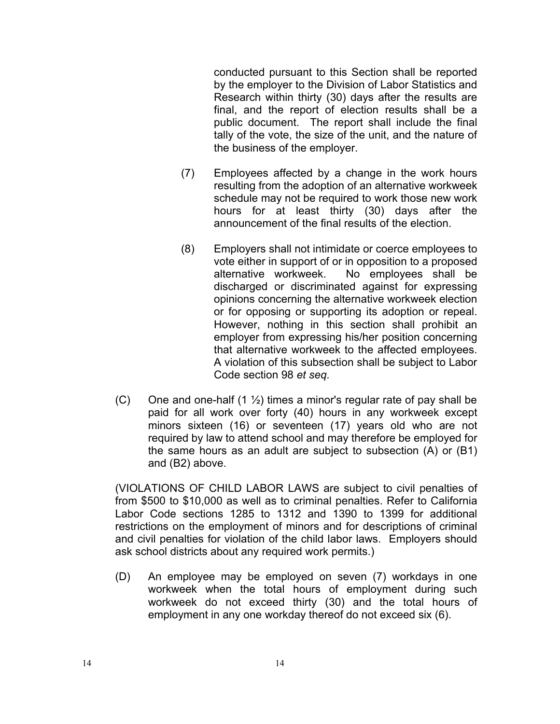conducted pursuant to this Section shall be reported by the employer to the Division of Labor Statistics and Research within thirty (30) days after the results are final, and the report of election results shall be a public document. The report shall include the final tally of the vote, the size of the unit, and the nature of the business of the employer.

- (7) Employees affected by a change in the work hours resulting from the adoption of an alternative workweek schedule may not be required to work those new work hours for at least thirty (30) days after the announcement of the final results of the election.
- or for opposing or supporting its adoption or repeal. that alternative workweek to the affected employees. (8) Employers shall not intimidate or coerce employees to vote either in support of or in opposition to a proposed alternative workweek. No employees shall be discharged or discriminated against for expressing opinions concerning the alternative workweek election However, nothing in this section shall prohibit an employer from expressing his/her position concerning A violation of this subsection shall be subject to Labor Code section 98 *et seq.*
- (C) One and one-half (1  $\frac{1}{2}$ ) times a minor's regular rate of pay shall be paid for all work over forty (40) hours in any workweek except minors sixteen (16) or seventeen (17) years old who are not required by law to attend school and may therefore be employed for the same hours as an adult are subject to subsection (A) or (B1) and (B2) above.

(VIOLATIONS OF CHILD LABOR LAWS are subject to civil penalties of from \$500 to \$10,000 as well as to criminal penalties. Refer to California Labor Code sections 1285 to 1312 and 1390 to 1399 for additional restrictions on the employment of minors and for descriptions of criminal and civil penalties for violation of the child labor laws. Employers should ask school districts about any required work permits.)

(D) An employee may be employed on seven (7) workdays in one workweek when the total hours of employment during such workweek do not exceed thirty (30) and the total hours of employment in any one workday thereof do not exceed six (6).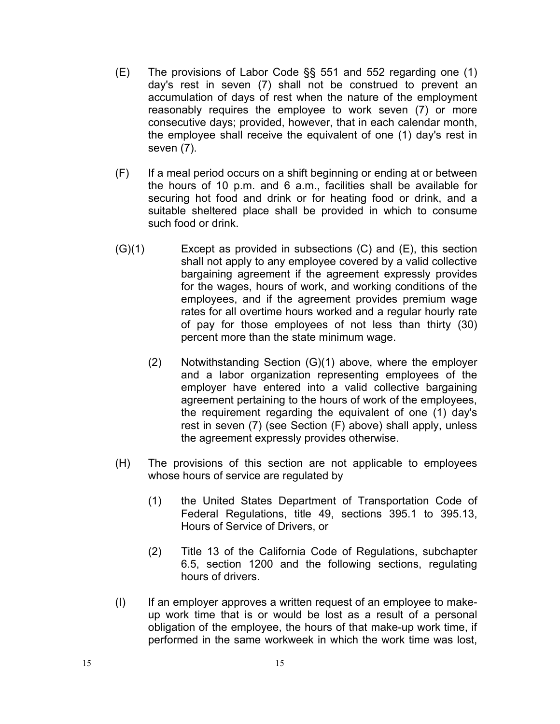- (E) The provisions of Labor Code §§ 551 and 552 regarding one (1) day's rest in seven (7) shall not be construed to prevent an accumulation of days of rest when the nature of the employment reasonably requires the employee to work seven (7) or more consecutive days; provided, however, that in each calendar month, the employee shall receive the equivalent of one (1) day's rest in seven (7).
- (F) If a meal period occurs on a shift beginning or ending at or between the hours of 10 p.m. and 6 a.m., facilities shall be available for securing hot food and drink or for heating food or drink, and a suitable sheltered place shall be provided in which to consume such food or drink.
- (G)(1) Except as provided in subsections (C) and (E), this section shall not apply to any employee covered by a valid collective bargaining agreement if the agreement expressly provides for the wages, hours of work, and working conditions of the employees, and if the agreement provides premium wage rates for all overtime hours worked and a regular hourly rate of pay for those employees of not less than thirty (30) percent more than the state minimum wage.
	- (2) Notwithstanding Section  $(G)(1)$  above, where the employer and a labor organization representing employees of the employer have entered into a valid collective bargaining agreement pertaining to the hours of work of the employees, the requirement regarding the equivalent of one (1) day's rest in seven (7) (see Section (F) above) shall apply, unless the agreement expressly provides otherwise.
- (H) The provisions of this section are not applicable to employees whose hours of service are regulated by
	- (1) the United States Department of Transportation Code of Federal Regulations, title 49, sections 395.1 to 395.13, Hours of Service of Drivers, or
	- (2) Title 13 of the California Code of Regulations, subchapter 6.5, section 1200 and the following sections, regulating hours of drivers.
- (I) If an employer approves a written request of an employee to makeup work time that is or would be lost as a result of a personal obligation of the employee, the hours of that make-up work time, if performed in the same workweek in which the work time was lost,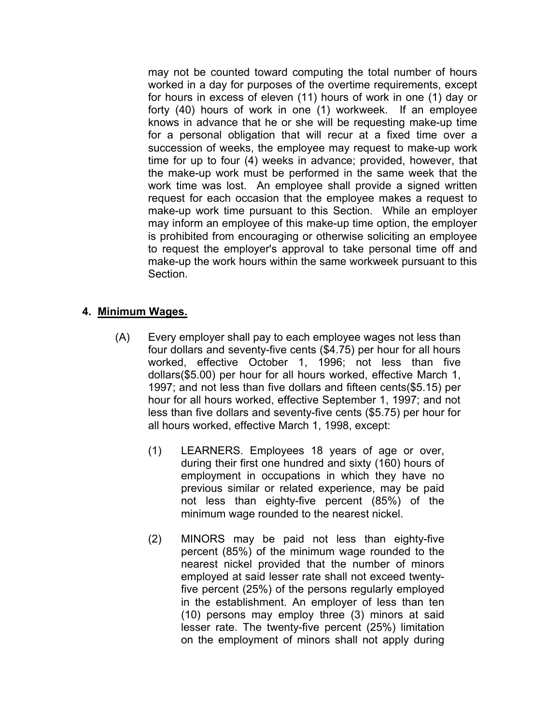for hours in excess of eleven (11) hours of work in one (1) day or may not be counted toward computing the total number of hours worked in a day for purposes of the overtime requirements, except forty (40) hours of work in one (1) workweek. If an employee knows in advance that he or she will be requesting make-up time for a personal obligation that will recur at a fixed time over a succession of weeks, the employee may request to make-up work time for up to four (4) weeks in advance; provided, however, that the make-up work must be performed in the same week that the work time was lost. An employee shall provide a signed written request for each occasion that the employee makes a request to make-up work time pursuant to this Section. While an employer may inform an employee of this make-up time option, the employer is prohibited from encouraging or otherwise soliciting an employee to request the employer's approval to take personal time off and make-up the work hours within the same workweek pursuant to this Section.

#### **4. Minimum Wages.**

- (A) Every employer shall pay to each employee wages not less than four dollars and seventy-five cents (\$4.75) per hour for all hours worked, effective October 1, 1996; not less than five dollars(\$5.00) per hour for all hours worked, effective March 1, 1997; and not less than five dollars and fifteen cents(\$5.15) per hour for all hours worked, effective September 1, 1997; and not less than five dollars and seventy-five cents (\$5.75) per hour for all hours worked, effective March 1, 1998, except:
	- $(1)$ LEARNERS. Employees 18 years of age or over, during their first one hundred and sixty (160) hours of employment in occupations in which they have no previous similar or related experience, may be paid not less than eighty-five percent (85%) of the minimum wage rounded to the nearest nickel.
	- (2) MINORS may be paid not less than eighty-five percent (85%) of the minimum wage rounded to the nearest nickel provided that the number of minors employed at said lesser rate shall not exceed twentyfive percent (25%) of the persons regularly employed in the establishment. An employer of less than ten (10) persons may employ three (3) minors at said lesser rate. The twenty-five percent (25%) limitation on the employment of minors shall not apply during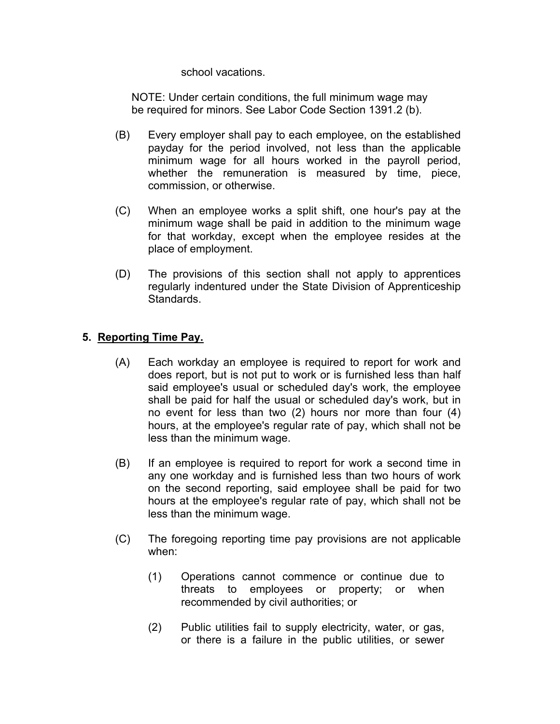#### school vacations.

NOTE: Under certain conditions, the full minimum wage may be required for minors. See Labor Code Section 1391.2 (b).

- $(B)$ Every employer shall pay to each employee, on the established payday for the period involved, not less than the applicable minimum wage for all hours worked in the payroll period, whether the remuneration is measured by time, piece, commission, or otherwise.
- $(C)$ When an employee works a split shift, one hour's pay at the minimum wage shall be paid in addition to the minimum wage for that workday, except when the employee resides at the place of employment.
- $(D)$ The provisions of this section shall not apply to apprentices regularly indentured under the State Division of Apprenticeship Standards.

## **5. Reporting Time Pay.**

- $(A)$ Each workday an employee is required to report for work and does report, but is not put to work or is furnished less than half said employee's usual or scheduled day's work, the employee shall be paid for half the usual or scheduled day's work, but in no event for less than two (2) hours nor more than four (4) hours, at the employee's regular rate of pay, which shall not be less than the minimum wage.
- $(B)$ If an employee is required to report for work a second time in any one workday and is furnished less than two hours of work on the second reporting, said employee shall be paid for two hours at the employee's regular rate of pay, which shall not be less than the minimum wage.
- $(C)$ The foregoing reporting time pay provisions are not applicable when:
	- $(1)$ Operations cannot commence or continue due to threats to employees or property; or when recommended by civil authorities; or
	- $(2)$ Public utilities fail to supply electricity, water, or gas, or there is a failure in the public utilities, or sewer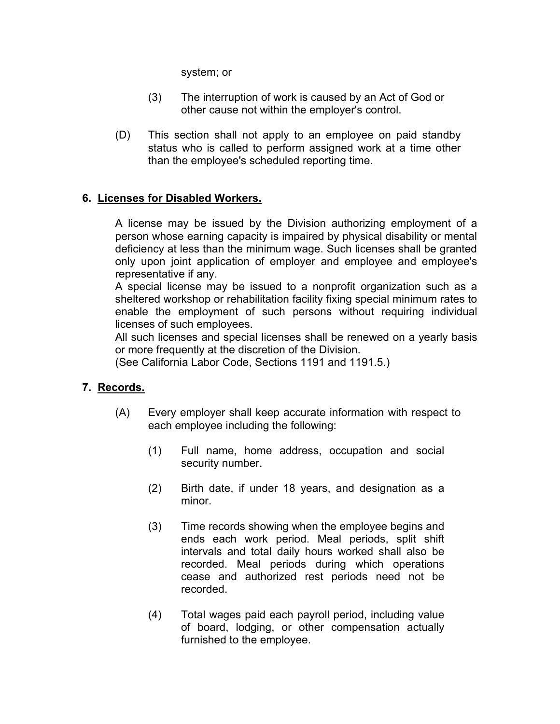system; or

- (3) The interruption of work is caused by an Act of God or other cause not within the employer's control.
- (D) This section shall not apply to an employee on paid standby status who is called to perform assigned work at a time other than the employee's scheduled reporting time.

#### **6. Licenses for Disabled Workers.**

 only upon joint application of employer and employee and employee's A license may be issued by the Division authorizing employment of a person whose earning capacity is impaired by physical disability or mental deficiency at less than the minimum wage. Such licenses shall be granted representative if any.

A special license may be issued to a nonprofit organization such as a sheltered workshop or rehabilitation facility fixing special minimum rates to enable the employment of such persons without requiring individual licenses of such employees.

All such licenses and special licenses shall be renewed on a yearly basis or more frequently at the discretion of the Division.

(See California Labor Code, Sections 1191 and 1191.5.)

## **7. Records.**

- $(A)$ Every employer shall keep accurate information with respect to each employee including the following:
	- $(1)$ Full name, home address, occupation and social security number.
	- $(2)$ Birth date, if under 18 years, and designation as a minor.
	- (3) Time records showing when the employee begins and ends each work period. Meal periods, split shift intervals and total daily hours worked shall also be recorded. Meal periods during which operations cease and authorized rest periods need not be recorded.
	- $(4)$ Total wages paid each payroll period, including value of board, lodging, or other compensation actually furnished to the employee.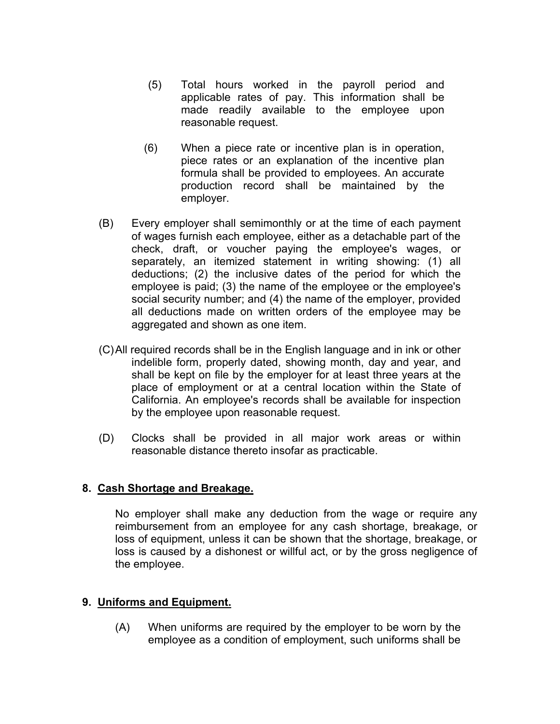- $(5)$ Total hours worked in the payroll period and applicable rates of pay. This information shall be made readily available to the employee upon reasonable request.
- $(6)$ When a piece rate or incentive plan is in operation, piece rates or an explanation of the incentive plan formula shall be provided to employees. An accurate production record shall be maintained by the employer.
- $(B)$ Every employer shall semimonthly or at the time of each payment of wages furnish each employee, either as a detachable part of the check, draft, or voucher paying the employee's wages, or separately, an itemized statement in writing showing: (1) all deductions; (2) the inclusive dates of the period for which the employee is paid; (3) the name of the employee or the employee's social security number; and (4) the name of the employer, provided all deductions made on written orders of the employee may be aggregated and shown as one item.
- (C)All required records shall be in the English language and in ink or other indelible form, properly dated, showing month, day and year, and shall be kept on file by the employer for at least three years at the place of employment or at a central location within the State of California. An employee's records shall be available for inspection by the employee upon reasonable request.
- $(D)$ Clocks shall be provided in all major work areas or within reasonable distance thereto insofar as practicable.

#### **8. Cash Shortage and Breakage.**

No employer shall make any deduction from the wage or require any reimbursement from an employee for any cash shortage, breakage, or loss of equipment, unless it can be shown that the shortage, breakage, or loss is caused by a dishonest or willful act, or by the gross negligence of the employee.

#### **9. Uniforms and Equipment.**

 $(A)$ When uniforms are required by the employer to be worn by the employee as a condition of employment, such uniforms shall be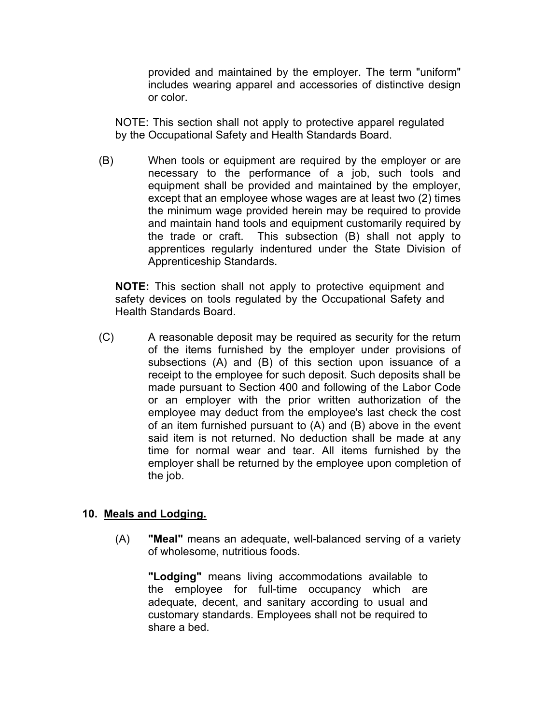provided and maintained by the employer. The term "uniform" includes wearing apparel and accessories of distinctive design or color.

NOTE: This section shall not apply to protective apparel regulated by the Occupational Safety and Health Standards Board.

 $(B)$ When tools or equipment are required by the employer or are necessary to the performance of a job, such tools and equipment shall be provided and maintained by the employer, except that an employee whose wages are at least two (2) times the minimum wage provided herein may be required to provide and maintain hand tools and equipment customarily required by the trade or craft. This subsection (B) shall not apply to apprentices regularly indentured under the State Division of Apprenticeship Standards.

**NOTE:** This section shall not apply to protective equipment and safety devices on tools regulated by the Occupational Safety and Health Standards Board.

 $(C)$ A reasonable deposit may be required as security for the return of the items furnished by the employer under provisions of subsections (A) and (B) of this section upon issuance of a receipt to the employee for such deposit. Such deposits shall be made pursuant to Section 400 and following of the Labor Code or an employer with the prior written authorization of the employee may deduct from the employee's last check the cost of an item furnished pursuant to (A) and (B) above in the event said item is not returned. No deduction shall be made at any time for normal wear and tear. All items furnished by the employer shall be returned by the employee upon completion of the job.

#### **10. Meals and Lodging.**

(A) **"Meal"** means an adequate, well-balanced serving of a variety of wholesome, nutritious foods.

**"Lodging"** means living accommodations available to the employee for full-time occupancy which are adequate, decent, and sanitary according to usual and customary standards. Employees shall not be required to share a bed.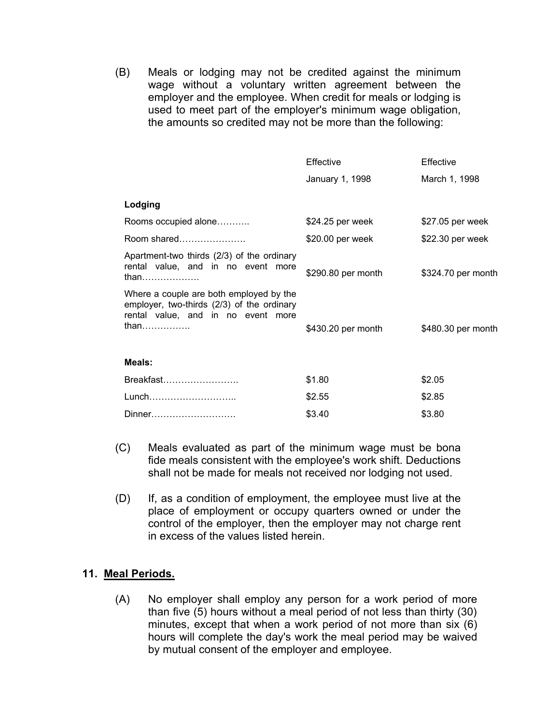(B) Meals or lodging may not be credited against the minimum wage without a voluntary written agreement between the employer and the employee. When credit for meals or lodging is used to meet part of the employer's minimum wage obligation, the amounts so credited may not be more than the following:

| Effective          | Effective          |
|--------------------|--------------------|
| January 1, 1998    | March 1, 1998      |
|                    |                    |
| \$24.25 per week   | \$27.05 per week   |
| \$20.00 per week   | \$22.30 per week   |
| \$290.80 per month | \$324.70 per month |
| \$430.20 per month | \$480.30 per month |
|                    |                    |
| \$1.80             | \$2.05             |
| \$2.55             | \$2.85             |
| \$3.40             | \$3.80             |
|                    |                    |
|                    |                    |

- $(C)$ Meals evaluated as part of the minimum wage must be bona fide meals consistent with the employee's work shift. Deductions shall not be made for meals not received nor lodging not used.
- $(D)$ If, as a condition of employment, the employee must live at the place of employment or occupy quarters owned or under the control of the employer, then the employer may not charge rent in excess of the values listed herein.

#### **11. Meal Periods.**

 $(A)$ No employer shall employ any person for a work period of more than five (5) hours without a meal period of not less than thirty (30) minutes, except that when a work period of not more than six (6) hours will complete the day's work the meal period may be waived by mutual consent of the employer and employee.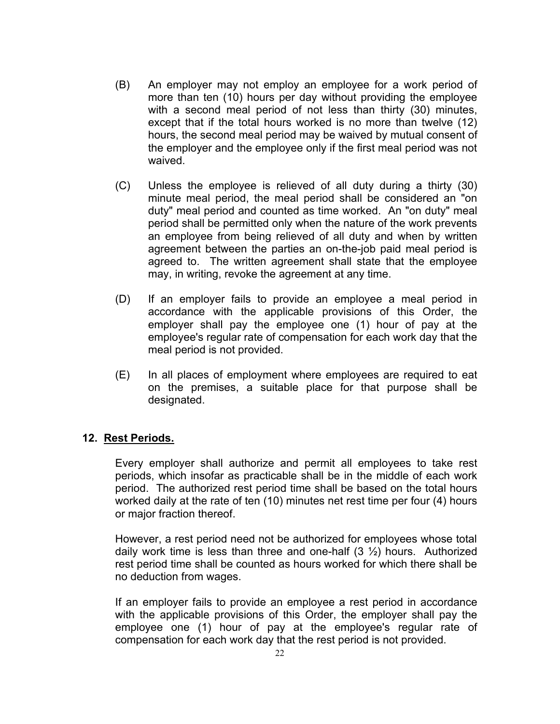- (B) An employer may not employ an employee for a work period of more than ten (10) hours per day without providing the employee with a second meal period of not less than thirty (30) minutes, except that if the total hours worked is no more than twelve (12) hours, the second meal period may be waived by mutual consent of the employer and the employee only if the first meal period was not waived.
- $(C)$ Unless the employee is relieved of all duty during a thirty  $(30)$ minute meal period, the meal period shall be considered an "on duty" meal period and counted as time worked. An "on duty" meal period shall be permitted only when the nature of the work prevents an employee from being relieved of all duty and when by written agreement between the parties an on-the-job paid meal period is agreed to. The written agreement shall state that the employee may, in writing, revoke the agreement at any time.
- $(D)$ If an employer fails to provide an employee a meal period in accordance with the applicable provisions of this Order, the employer shall pay the employee one (1) hour of pay at the employee's regular rate of compensation for each work day that the meal period is not provided.
- $(E)$ In all places of employment where employees are required to eat on the premises, a suitable place for that purpose shall be designated.

#### **12. Rest Periods.**

Every employer shall authorize and permit all employees to take rest periods, which insofar as practicable shall be in the middle of each work period. The authorized rest period time shall be based on the total hours worked daily at the rate of ten (10) minutes net rest time per four (4) hours or major fraction thereof.

However, a rest period need not be authorized for employees whose total daily work time is less than three and one-half  $(3 \frac{1}{2})$  hours. Authorized rest period time shall be counted as hours worked for which there shall be no deduction from wages.

If an employer fails to provide an employee a rest period in accordance with the applicable provisions of this Order, the employer shall pay the employee one (1) hour of pay at the employee's regular rate of compensation for each work day that the rest period is not provided.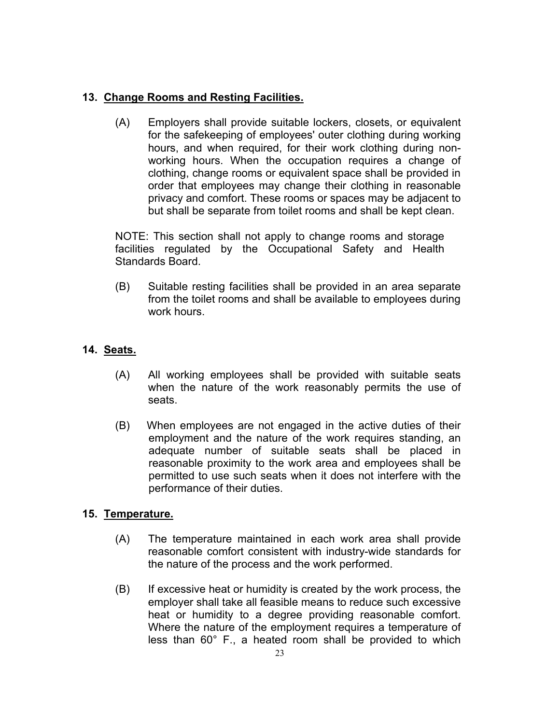### **13. Change Rooms and Resting Facilities.**

 $(A)$ Employers shall provide suitable lockers, closets, or equivalent for the safekeeping of employees' outer clothing during working hours, and when required, for their work clothing during nonworking hours. When the occupation requires a change of clothing, change rooms or equivalent space shall be provided in order that employees may change their clothing in reasonable privacy and comfort. These rooms or spaces may be adjacent to but shall be separate from toilet rooms and shall be kept clean.

NOTE: This section shall not apply to change rooms and storage facilities regulated by the Occupational Safety and Health Standards Board.

 $(B)$ Suitable resting facilities shall be provided in an area separate from the toilet rooms and shall be available to employees during work hours.

#### **14. Seats.**

- $(A)$ All working employees shall be provided with suitable seats when the nature of the work reasonably permits the use of seats.
- $(B)$ When employees are not engaged in the active duties of their employment and the nature of the work requires standing, an adequate number of suitable seats shall be placed in reasonable proximity to the work area and employees shall be permitted to use such seats when it does not interfere with the performance of their duties.

#### **15. Temperature.**

- $(A)$ The temperature maintained in each work area shall provide reasonable comfort consistent with industry-wide standards for the nature of the process and the work performed.
- (B) If excessive heat or humidity is created by the work process, the employer shall take all feasible means to reduce such excessive heat or humidity to a degree providing reasonable comfort. Where the nature of the employment requires a temperature of less than 60° F., a heated room shall be provided to which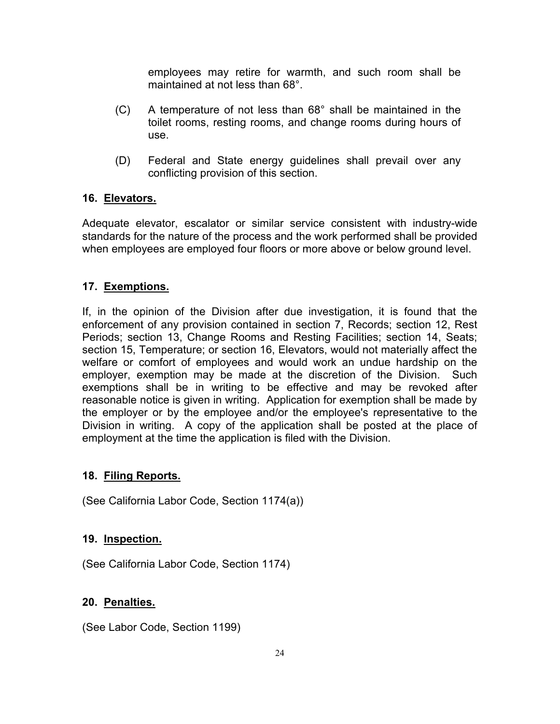employees may retire for warmth, and such room shall be maintained at not less than 68°.

- $(C)$ A temperature of not less than  $68^\circ$  shall be maintained in the toilet rooms, resting rooms, and change rooms during hours of use.
- (D) Federal and State energy guidelines shall prevail over any conflicting provision of this section.

#### **16. Elevators.**

Adequate elevator, escalator or similar service consistent with industry-wide standards for the nature of the process and the work performed shall be provided when employees are employed four floors or more above or below ground level.

## **17. Exemptions.**

If, in the opinion of the Division after due investigation, it is found that the enforcement of any provision contained in section 7, Records; section 12, Rest Periods; section 13, Change Rooms and Resting Facilities; section 14, Seats; section 15, Temperature; or section 16, Elevators, would not materially affect the welfare or comfort of employees and would work an undue hardship on the employer, exemption may be made at the discretion of the Division. Such exemptions shall be in writing to be effective and may be revoked after reasonable notice is given in writing. Application for exemption shall be made by the employer or by the employee and/or the employee's representative to the Division in writing. A copy of the application shall be posted at the place of employment at the time the application is filed with the Division.

#### **18. Filing Reports.**

(See California Labor Code, Section 1174(a))

#### **19. Inspection.**

(See California Labor Code, Section 1174)

#### **20. Penalties.**

(See Labor Code, Section 1199)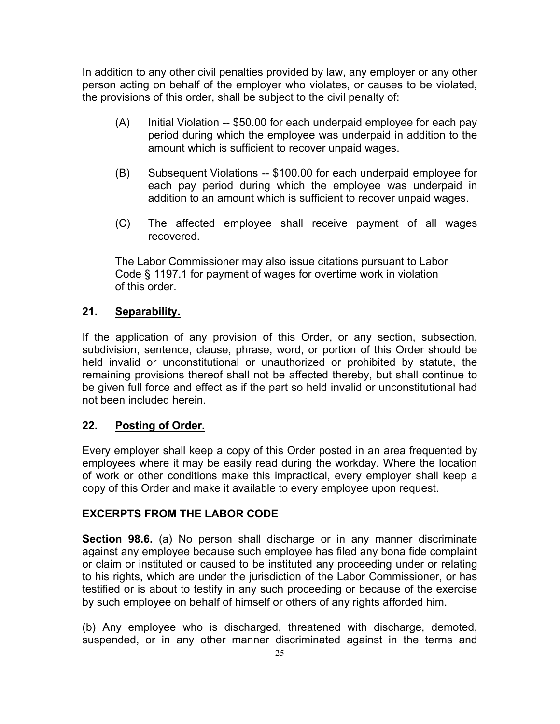In addition to any other civil penalties provided by law, any employer or any other person acting on behalf of the employer who violates, or causes to be violated, the provisions of this order, shall be subject to the civil penalty of:

- (A) Initial Violation -- \$50.00 for each underpaid employee for each pay period during which the employee was underpaid in addition to the amount which is sufficient to recover unpaid wages.
- $(B)$ Subsequent Violations -- \$100.00 for each underpaid employee for each pay period during which the employee was underpaid in addition to an amount which is sufficient to recover unpaid wages.
- $(C)$ The affected employee shall receive payment of all wages recovered.

The Labor Commissioner may also issue citations pursuant to Labor Code § 1197.1 for payment of wages for overtime work in violation of this order.

## **21. Separability.**

If the application of any provision of this Order, or any section, subsection, subdivision, sentence, clause, phrase, word, or portion of this Order should be held invalid or unconstitutional or unauthorized or prohibited by statute, the remaining provisions thereof shall not be affected thereby, but shall continue to be given full force and effect as if the part so held invalid or unconstitutional had not been included herein.

## **22. Posting of Order.**

Every employer shall keep a copy of this Order posted in an area frequented by employees where it may be easily read during the workday. Where the location of work or other conditions make this impractical, every employer shall keep a copy of this Order and make it available to every employee upon request.

#### **EXCERPTS FROM THE LABOR CODE**

**Section 98.6.** (a) No person shall discharge or in any manner discriminate against any employee because such employee has filed any bona fide complaint or claim or instituted or caused to be instituted any proceeding under or relating to his rights, which are under the jurisdiction of the Labor Commissioner, or has testified or is about to testify in any such proceeding or because of the exercise by such employee on behalf of himself or others of any rights afforded him.

(b) Any employee who is discharged, threatened with discharge, demoted, suspended, or in any other manner discriminated against in the terms and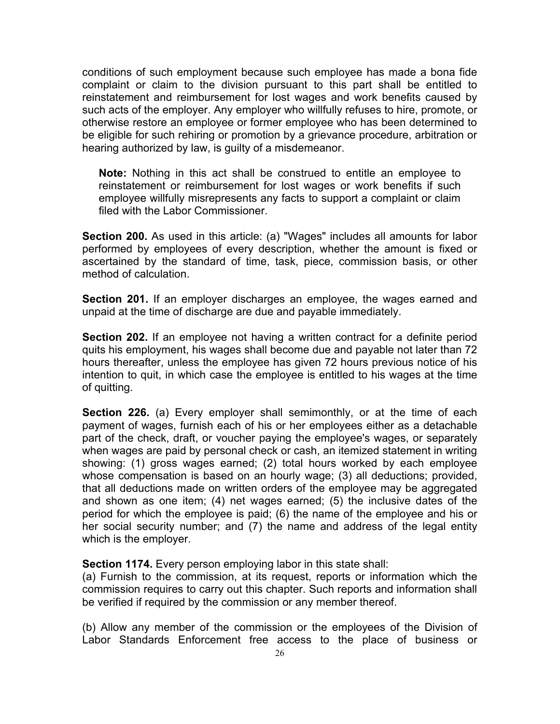conditions of such employment because such employee has made a bona fide complaint or claim to the division pursuant to this part shall be entitled to reinstatement and reimbursement for lost wages and work benefits caused by such acts of the employer. Any employer who willfully refuses to hire, promote, or otherwise restore an employee or former employee who has been determined to be eligible for such rehiring or promotion by a grievance procedure, arbitration or hearing authorized by law, is guilty of a misdemeanor.

**Note:** Nothing in this act shall be construed to entitle an employee to reinstatement or reimbursement for lost wages or work benefits if such employee willfully misrepresents any facts to support a complaint or claim filed with the Labor Commissioner.

**Section 200.** As used in this article: (a) "Wages" includes all amounts for labor performed by employees of every description, whether the amount is fixed or ascertained by the standard of time, task, piece, commission basis, or other method of calculation.

**Section 201.** If an employer discharges an employee, the wages earned and unpaid at the time of discharge are due and payable immediately.

**Section 202.** If an employee not having a written contract for a definite period quits his employment, his wages shall become due and payable not later than 72 hours thereafter, unless the employee has given 72 hours previous notice of his intention to quit, in which case the employee is entitled to his wages at the time of quitting.

**Section 226.** (a) Every employer shall semimonthly, or at the time of each payment of wages, furnish each of his or her employees either as a detachable part of the check, draft, or voucher paying the employee's wages, or separately when wages are paid by personal check or cash, an itemized statement in writing showing: (1) gross wages earned; (2) total hours worked by each employee whose compensation is based on an hourly wage; (3) all deductions; provided, that all deductions made on written orders of the employee may be aggregated and shown as one item; (4) net wages earned; (5) the inclusive dates of the period for which the employee is paid; (6) the name of the employee and his or her social security number; and (7) the name and address of the legal entity which is the employer.

**Section 1174.** Every person employing labor in this state shall:

(a) Furnish to the commission, at its request, reports or information which the commission requires to carry out this chapter. Such reports and information shall be verified if required by the commission or any member thereof.

(b) Allow any member of the commission or the employees of the Division of Labor Standards Enforcement free access to the place of business or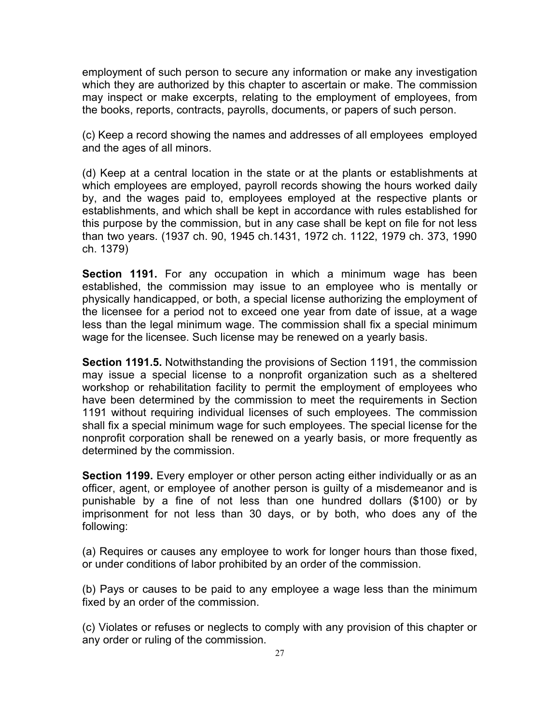employment of such person to secure any information or make any investigation which they are authorized by this chapter to ascertain or make. The commission may inspect or make excerpts, relating to the employment of employees, from the books, reports, contracts, payrolls, documents, or papers of such person.

(c) Keep a record showing the names and addresses of all employees employed and the ages of all minors.

(d) Keep at a central location in the state or at the plants or establishments at which employees are employed, payroll records showing the hours worked daily by, and the wages paid to, employees employed at the respective plants or establishments, and which shall be kept in accordance with rules established for this purpose by the commission, but in any case shall be kept on file for not less than two years. (1937 ch. 90, 1945 ch.1431, 1972 ch. 1122, 1979 ch. 373, 1990 ch. 1379)

**Section 1191.** For any occupation in which a minimum wage has been established, the commission may issue to an employee who is mentally or physically handicapped, or both, a special license authorizing the employment of the licensee for a period not to exceed one year from date of issue, at a wage less than the legal minimum wage. The commission shall fix a special minimum wage for the licensee. Such license may be renewed on a yearly basis.

**Section 1191.5.** Notwithstanding the provisions of Section 1191, the commission may issue a special license to a nonprofit organization such as a sheltered workshop or rehabilitation facility to permit the employment of employees who have been determined by the commission to meet the requirements in Section 1191 without requiring individual licenses of such employees. The commission shall fix a special minimum wage for such employees. The special license for the nonprofit corporation shall be renewed on a yearly basis, or more frequently as determined by the commission.

**Section 1199.** Every employer or other person acting either individually or as an officer, agent, or employee of another person is guilty of a misdemeanor and is punishable by a fine of not less than one hundred dollars (\$100) or by imprisonment for not less than 30 days, or by both, who does any of the following:

(a) Requires or causes any employee to work for longer hours than those fixed, or under conditions of labor prohibited by an order of the commission.

(b) Pays or causes to be paid to any employee a wage less than the minimum fixed by an order of the commission.

(c) Violates or refuses or neglects to comply with any provision of this chapter or any order or ruling of the commission.